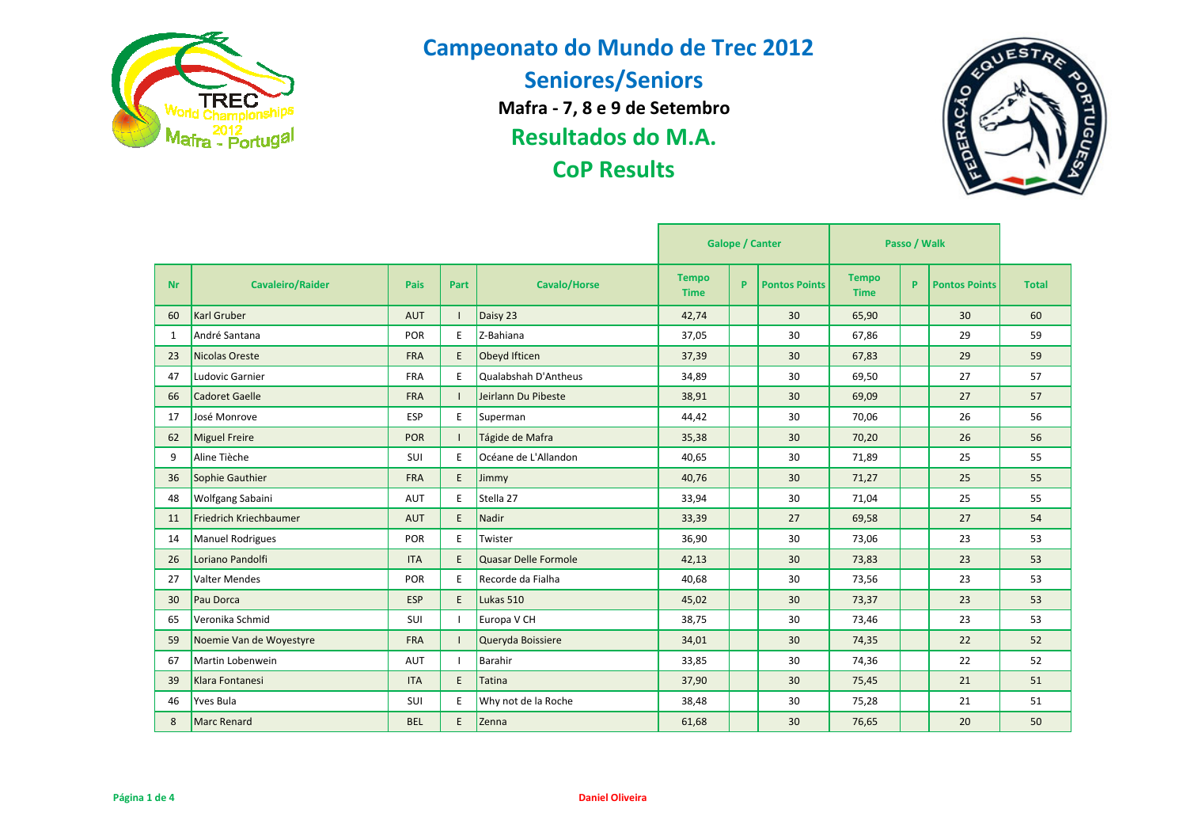



|           |                         |            |      |                      | <b>Galope / Canter</b>      |    |                      | Passo / Walk                |   |                      |              |
|-----------|-------------------------|------------|------|----------------------|-----------------------------|----|----------------------|-----------------------------|---|----------------------|--------------|
| <b>Nr</b> | <b>Cavaleiro/Raider</b> | Pais       | Part | <b>Cavalo/Horse</b>  | <b>Tempo</b><br><b>Time</b> | P. | <b>Pontos Points</b> | <b>Tempo</b><br><b>Time</b> | P | <b>Pontos Points</b> | <b>Total</b> |
| 60        | <b>Karl Gruber</b>      | <b>AUT</b> |      | Daisy 23             | 42,74                       |    | 30                   | 65,90                       |   | 30                   | 60           |
| 1         | André Santana           | POR        | E.   | Z-Bahiana            | 37,05                       |    | 30                   | 67,86                       |   | 29                   | 59           |
| 23        | Nicolas Oreste          | <b>FRA</b> | E    | Obeyd Ifticen        | 37,39                       |    | 30                   | 67,83                       |   | 29                   | 59           |
| 47        | Ludovic Garnier         | <b>FRA</b> | E.   | Qualabshah D'Antheus | 34,89                       |    | 30                   | 69,50                       |   | 27                   | 57           |
| 66        | Cadoret Gaelle          | <b>FRA</b> |      | Jeirlann Du Pibeste  | 38,91                       |    | 30                   | 69,09                       |   | 27                   | 57           |
| 17        | José Monrove            | <b>ESP</b> | E.   | Superman             | 44,42                       |    | 30                   | 70,06                       |   | 26                   | 56           |
| 62        | Miguel Freire           | POR        |      | Tágide de Mafra      | 35,38                       |    | 30                   | 70,20                       |   | 26                   | 56           |
| 9         | Aline Tièche            | SUI        | E    | Océane de L'Allandon | 40,65                       |    | 30                   | 71,89                       |   | 25                   | 55           |
| 36        | Sophie Gauthier         | <b>FRA</b> | E    | Jimmy                | 40,76                       |    | 30                   | 71,27                       |   | 25                   | 55           |
| 48        | <b>Wolfgang Sabaini</b> | AUT        | E.   | Stella 27            | 33,94                       |    | 30                   | 71,04                       |   | 25                   | 55           |
| 11        | Friedrich Kriechbaumer  | <b>AUT</b> | E    | Nadir                | 33,39                       |    | 27                   | 69,58                       |   | 27                   | 54           |
| 14        | Manuel Rodrigues        | POR        | E    | Twister              | 36,90                       |    | 30                   | 73,06                       |   | 23                   | 53           |
| 26        | Loriano Pandolfi        | <b>ITA</b> | E    | Quasar Delle Formole | 42,13                       |    | 30                   | 73,83                       |   | 23                   | 53           |
| 27        | Valter Mendes           | POR        | E    | Recorde da Fialha    | 40,68                       |    | 30                   | 73,56                       |   | 23                   | 53           |
| 30        | Pau Dorca               | <b>ESP</b> | E    | Lukas 510            | 45,02                       |    | 30                   | 73,37                       |   | 23                   | 53           |
| 65        | Veronika Schmid         | SUI        |      | Europa V CH          | 38,75                       |    | 30                   | 73,46                       |   | 23                   | 53           |
| 59        | Noemie Van de Woyestyre | <b>FRA</b> |      | Queryda Boissiere    | 34,01                       |    | 30                   | 74,35                       |   | 22                   | 52           |
| 67        | Martin Lobenwein        | AUT        |      | Barahir              | 33,85                       |    | 30                   | 74,36                       |   | 22                   | 52           |
| 39        | Klara Fontanesi         | <b>ITA</b> | E.   | <b>Tatina</b>        | 37,90                       |    | 30                   | 75,45                       |   | 21                   | 51           |
| 46        | Yves Bula               | SUI        | E    | Why not de la Roche  | 38,48                       |    | 30                   | 75,28                       |   | 21                   | 51           |
| 8         | Marc Renard             | <b>BEL</b> | E.   | Zenna                | 61,68                       |    | 30                   | 76,65                       |   | 20                   | 50           |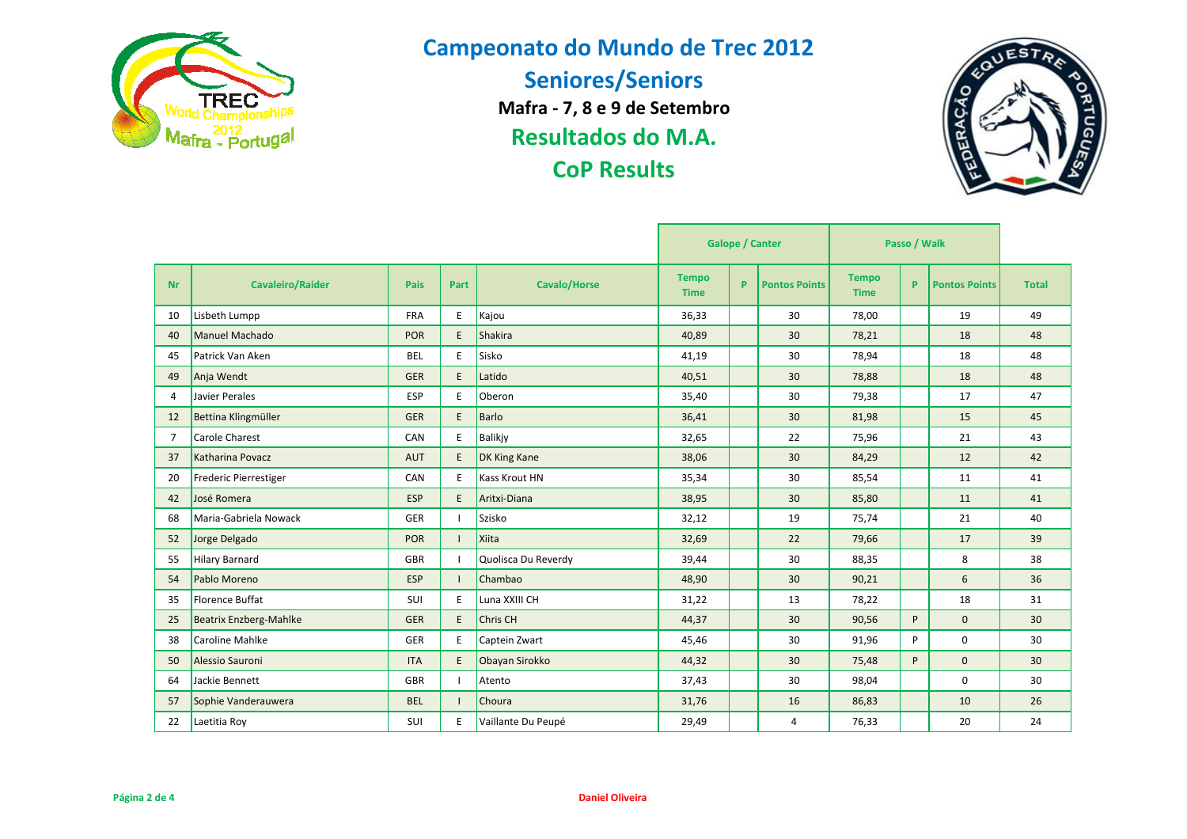



|                |                               | <b>Galope / Canter</b><br>Passo / Walk |      |                     |                             |   |                      |                             |   |                      |              |
|----------------|-------------------------------|----------------------------------------|------|---------------------|-----------------------------|---|----------------------|-----------------------------|---|----------------------|--------------|
| <b>Nr</b>      | <b>Cavaleiro/Raider</b>       | <b>Pais</b>                            | Part | <b>Cavalo/Horse</b> | <b>Tempo</b><br><b>Time</b> | P | <b>Pontos Points</b> | <b>Tempo</b><br><b>Time</b> | P | <b>Pontos Points</b> | <b>Total</b> |
| 10             | Lisbeth Lumpp                 | <b>FRA</b>                             | E    | Kajou               | 36,33                       |   | 30                   | 78,00                       |   | 19                   | 49           |
| 40             | Manuel Machado                | <b>POR</b>                             | E.   | <b>Shakira</b>      | 40,89                       |   | 30                   | 78,21                       |   | 18                   | 48           |
| 45             | Patrick Van Aken              | BEL                                    | E.   | Sisko               | 41,19                       |   | 30                   | 78,94                       |   | 18                   | 48           |
| 49             | Anja Wendt                    | <b>GER</b>                             | E.   | Latido              | 40,51                       |   | 30                   | 78,88                       |   | 18                   | 48           |
| 4              | Javier Perales                | <b>ESP</b>                             | E    | Oberon              | 35,40                       |   | 30                   | 79,38                       |   | 17                   | 47           |
| 12             | Bettina Klingmüller           | <b>GER</b>                             | E.   | Barlo               | 36,41                       |   | 30                   | 81,98                       |   | 15                   | 45           |
| $\overline{7}$ | Carole Charest                | CAN                                    | E.   | Balikjy             | 32,65                       |   | 22                   | 75,96                       |   | 21                   | 43           |
| 37             | Katharina Povacz              | <b>AUT</b>                             | E.   | DK King Kane        | 38,06                       |   | 30                   | 84,29                       |   | 12                   | 42           |
| 20             | Frederic Pierrestiger         | CAN                                    | E.   | Kass Krout HN       | 35,34                       |   | 30                   | 85,54                       |   | 11                   | 41           |
| 42             | José Romera                   | <b>ESP</b>                             | E.   | Aritxi-Diana        | 38,95                       |   | 30                   | 85,80                       |   | 11                   | 41           |
| 68             | Maria-Gabriela Nowack         | <b>GER</b>                             |      | Szisko              | 32,12                       |   | 19                   | 75,74                       |   | 21                   | 40           |
| 52             | Jorge Delgado                 | <b>POR</b>                             |      | Xiita               | 32,69                       |   | 22                   | 79,66                       |   | 17                   | 39           |
| 55             | Hilary Barnard                | GBR                                    |      | Quolisca Du Reverdy | 39,44                       |   | 30                   | 88,35                       |   | 8                    | 38           |
| 54             | Pablo Moreno                  | <b>ESP</b>                             |      | Chambao             | 48,90                       |   | 30                   | 90,21                       |   | 6                    | 36           |
| 35             | <b>Florence Buffat</b>        | SUI                                    | E.   | Luna XXIII CH       | 31,22                       |   | 13                   | 78,22                       |   | 18                   | 31           |
| 25             | <b>Beatrix Enzberg-Mahlke</b> | <b>GER</b>                             | E.   | Chris CH            | 44,37                       |   | 30                   | 90,56                       | P | $\mathbf{0}$         | 30           |
| 38             | Caroline Mahlke               | <b>GER</b>                             | E    | Captein Zwart       | 45,46                       |   | 30                   | 91,96                       | P | 0                    | 30           |
| 50             | Alessio Sauroni               | <b>ITA</b>                             | E.   | Obayan Sirokko      | 44,32                       |   | 30                   | 75,48                       | P | 0                    | 30           |
| 64             | Jackie Bennett                | <b>GBR</b>                             |      | Atento              | 37,43                       |   | 30                   | 98,04                       |   | 0                    | 30           |
| 57             | Sophie Vanderauwera           | <b>BEL</b>                             |      | Choura              | 31,76                       |   | 16                   | 86,83                       |   | 10                   | 26           |
| 22             | Laetitia Roy                  | SUI                                    | E.   | Vaillante Du Peupé  | 29,49                       |   | 4                    | 76,33                       |   | 20                   | 24           |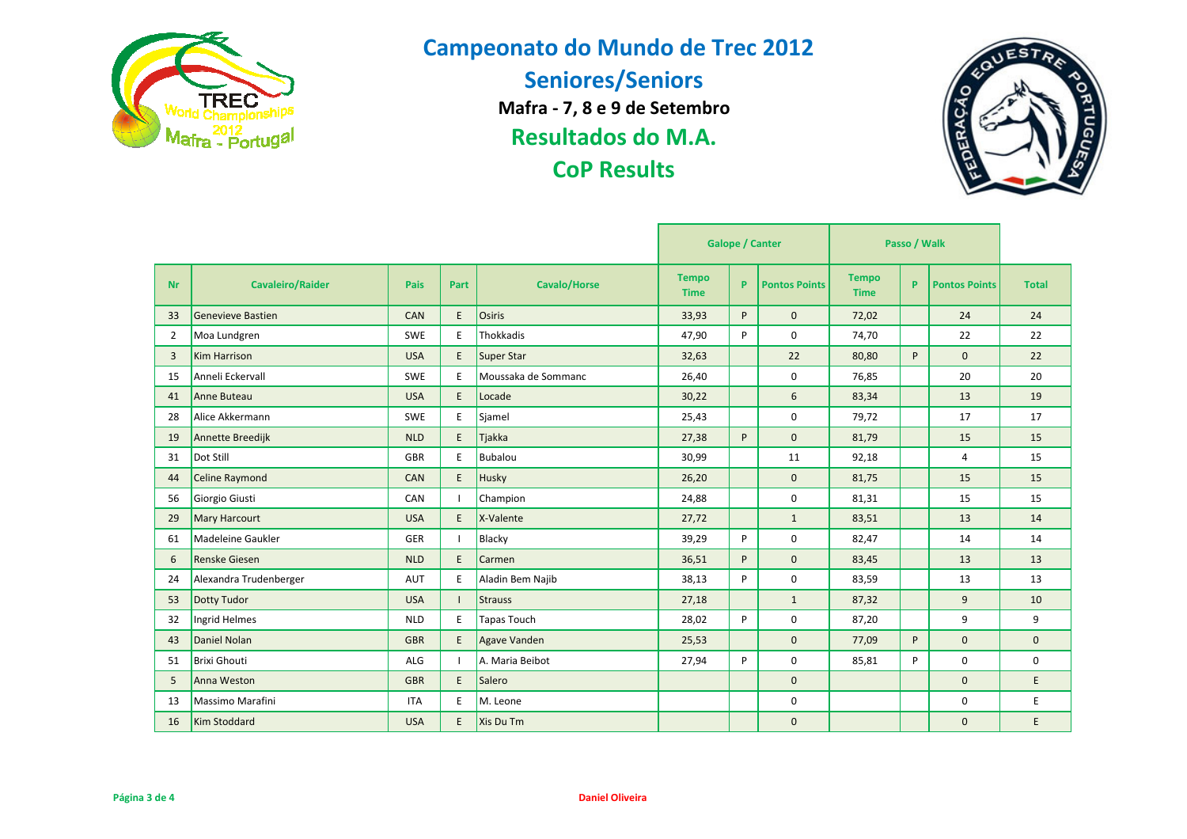



|           |                          | <b>Galope / Canter</b><br>Passo / Walk |      |                     |                             |    |                      |                             |    |                      |              |
|-----------|--------------------------|----------------------------------------|------|---------------------|-----------------------------|----|----------------------|-----------------------------|----|----------------------|--------------|
| <b>Nr</b> | <b>Cavaleiro/Raider</b>  | Pais                                   | Part | <b>Cavalo/Horse</b> | <b>Tempo</b><br><b>Time</b> | P. | <b>Pontos Points</b> | <b>Tempo</b><br><b>Time</b> | P. | <b>Pontos Points</b> | <b>Total</b> |
| 33        | <b>Genevieve Bastien</b> | <b>CAN</b>                             | E.   | Osiris              | 33,93                       | P  | $\mathbf{0}$         | 72,02                       |    | 24                   | 24           |
| 2         | Moa Lundgren             | <b>SWE</b>                             | E    | Thokkadis           | 47,90                       | P  | $\mathbf 0$          | 74,70                       |    | 22                   | 22           |
| 3         | <b>Kim Harrison</b>      | <b>USA</b>                             | E.   | Super Star          | 32,63                       |    | 22                   | 80,80                       | P  | 0                    | 22           |
| 15        | Anneli Eckervall         | <b>SWE</b>                             | E.   | Moussaka de Sommanc | 26,40                       |    | $\mathbf 0$          | 76,85                       |    | 20                   | 20           |
| 41        | Anne Buteau              | <b>USA</b>                             | E.   | Locade              | 30,22                       |    | 6                    | 83,34                       |    | 13                   | 19           |
| 28        | Alice Akkermann          | <b>SWE</b>                             | E    | Sjamel              | 25,43                       |    | $\mathbf 0$          | 79,72                       |    | 17                   | 17           |
| 19        | Annette Breedijk         | <b>NLD</b>                             | E.   | Tjakka              | 27,38                       | P  | $\mathbf{0}$         | 81,79                       |    | 15                   | 15           |
| 31        | Dot Still                | <b>GBR</b>                             | E    | <b>Bubalou</b>      | 30,99                       |    | 11                   | 92,18                       |    | 4                    | 15           |
| 44        | Celine Raymond           | <b>CAN</b>                             | E.   | Husky               | 26,20                       |    | $\mathbf{0}$         | 81,75                       |    | 15                   | 15           |
| 56        | Giorgio Giusti           | CAN                                    |      | Champion            | 24,88                       |    | 0                    | 81,31                       |    | 15                   | 15           |
| 29        | <b>Mary Harcourt</b>     | <b>USA</b>                             | E.   | X-Valente           | 27,72                       |    | $\mathbf{1}$         | 83,51                       |    | 13                   | 14           |
| 61        | <b>Madeleine Gaukler</b> | <b>GER</b>                             |      | Blacky              | 39,29                       | P  | $\mathbf 0$          | 82,47                       |    | 14                   | 14           |
| 6         | Renske Giesen            | <b>NLD</b>                             | E.   | Carmen              | 36,51                       | P  | $\mathbf{0}$         | 83,45                       |    | 13                   | 13           |
| 24        | Alexandra Trudenberger   | <b>AUT</b>                             | E    | Aladin Bem Najib    | 38,13                       | P  | $\mathbf 0$          | 83,59                       |    | 13                   | 13           |
| 53        | <b>Dotty Tudor</b>       | <b>USA</b>                             |      | Strauss             | 27,18                       |    | $\mathbf{1}$         | 87,32                       |    | 9                    | 10           |
| 32        | Ingrid Helmes            | <b>NLD</b>                             | E    | <b>Tapas Touch</b>  | 28,02                       | P  | 0                    | 87,20                       |    | 9                    | 9            |
| 43        | Daniel Nolan             | <b>GBR</b>                             | E.   | Agave Vanden        | 25,53                       |    | $\mathbf 0$          | 77,09                       | P  | 0                    | $\mathbf{0}$ |
| 51        | <b>Brixi Ghouti</b>      | <b>ALG</b>                             |      | A. Maria Beibot     | 27,94                       | P  | 0                    | 85,81                       | P  | 0                    | 0            |
| 5         | Anna Weston              | <b>GBR</b>                             | E.   | Salero              |                             |    | $\mathbf 0$          |                             |    | 0                    | E.           |
| 13        | <b>Massimo Marafini</b>  | <b>ITA</b>                             | E.   | M. Leone            |                             |    | 0                    |                             |    | 0                    | E            |
| 16        | <b>Kim Stoddard</b>      | <b>USA</b>                             | E.   | Xis Du Tm           |                             |    | $\mathbf 0$          |                             |    | 0                    | E            |